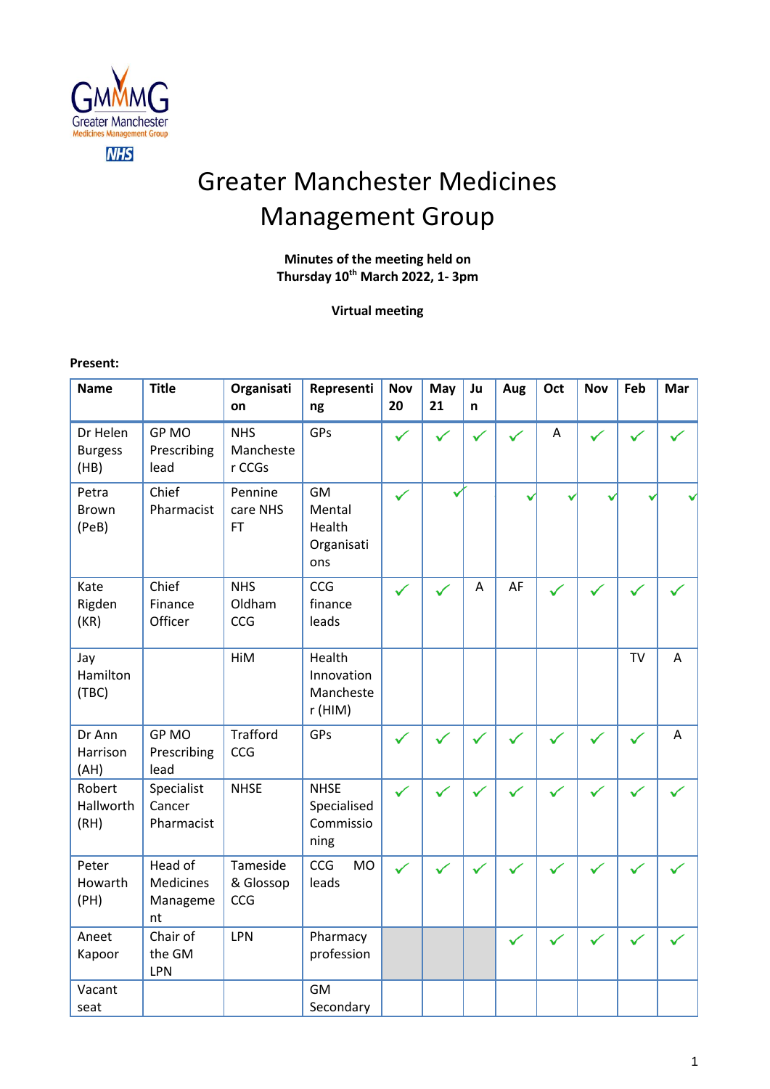

# Greater Manchester Medicines Management Group

# **Minutes of the meeting held on Thursday 10 th March 2022, 1- 3pm**

# **Virtual meeting**

#### **Present:**

| <b>Name</b>                        | <b>Title</b>                                  | Organisati<br>on                  | Representi<br>ng                                   | <b>Nov</b><br>20 | May<br>21    | Ju<br>n      | Aug          | Oct          | <b>Nov</b>   | Feb          | Mar          |
|------------------------------------|-----------------------------------------------|-----------------------------------|----------------------------------------------------|------------------|--------------|--------------|--------------|--------------|--------------|--------------|--------------|
| Dr Helen<br><b>Burgess</b><br>(HB) | <b>GPMO</b><br>Prescribing<br>lead            | <b>NHS</b><br>Mancheste<br>r CCGs | GPs                                                | ✓                | $\checkmark$ | ✓            | $\checkmark$ | A            | $\checkmark$ | ✓            |              |
| Petra<br><b>Brown</b><br>(PeB)     | Chief<br>Pharmacist                           | Pennine<br>care NHS<br><b>FT</b>  | <b>GM</b><br>Mental<br>Health<br>Organisati<br>ons | ✓                |              |              |              |              |              |              |              |
| Kate<br>Rigden<br>(KR)             | Chief<br>Finance<br>Officer                   | <b>NHS</b><br>Oldham<br>CCG       | CCG<br>finance<br>leads                            | $\checkmark$     |              | A            | AF           | ✓            | ✓            |              |              |
| Jay<br>Hamilton<br>(TBC)           |                                               | HiM                               | Health<br>Innovation<br>Mancheste<br>r (HIM)       |                  |              |              |              |              |              | <b>TV</b>    | A            |
| Dr Ann<br>Harrison<br>(AH)         | GP MO<br>Prescribing<br>lead                  | <b>Trafford</b><br>CCG            | GPs                                                | ✓                |              | $\checkmark$ | $\checkmark$ |              | $\checkmark$ | $\checkmark$ | A            |
| Robert<br>Hallworth<br>(RH)        | Specialist<br>Cancer<br>Pharmacist            | <b>NHSE</b>                       | <b>NHSE</b><br>Specialised<br>Commissio<br>ning    | ✓                |              | $\checkmark$ |              | $\checkmark$ | $\checkmark$ | $\checkmark$ | $\checkmark$ |
| Peter<br>Howarth<br>(PH)           | Head of<br><b>Medicines</b><br>Manageme<br>nt | Tameside<br>& Glossop<br>CCG      | CCG<br><b>MO</b><br>leads                          |                  |              |              |              |              |              |              |              |
| Aneet<br>Kapoor                    | Chair of<br>the GM<br>LPN                     | LPN                               | Pharmacy<br>profession                             |                  |              |              | $\checkmark$ |              |              |              |              |
| Vacant<br>seat                     |                                               |                                   | <b>GM</b><br>Secondary                             |                  |              |              |              |              |              |              |              |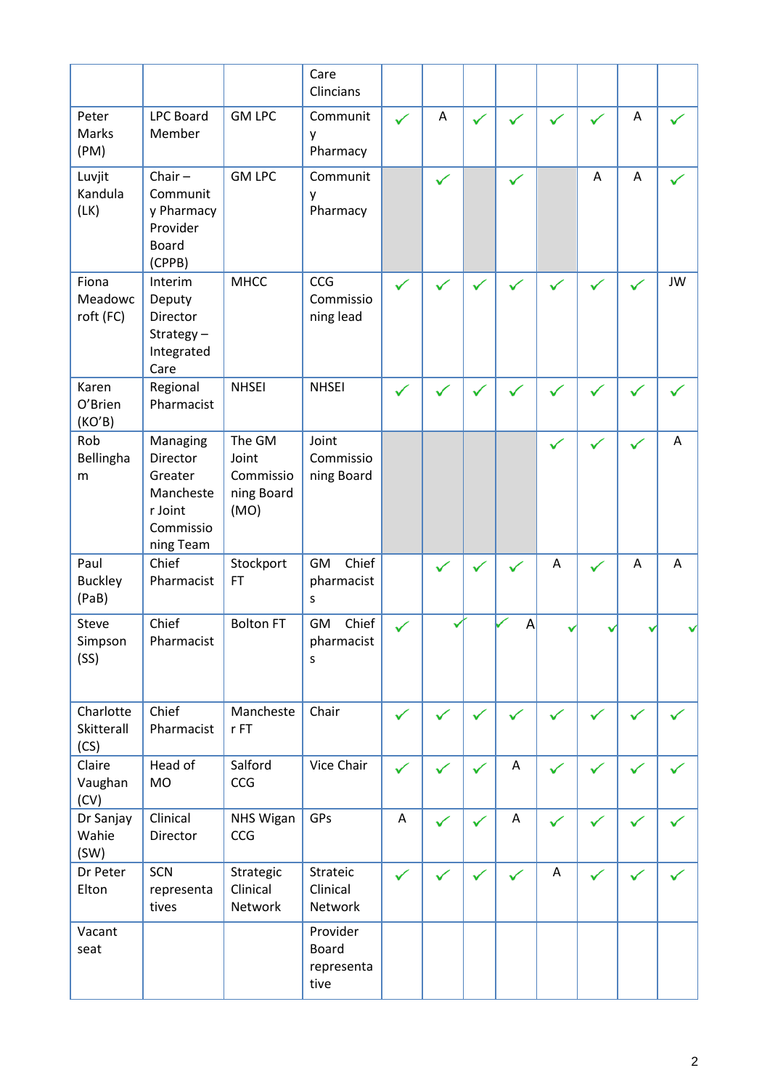|                                 |                                                                                   |                                                    | Care<br>Clincians                              |              |              |              |              |              |              |              |           |
|---------------------------------|-----------------------------------------------------------------------------------|----------------------------------------------------|------------------------------------------------|--------------|--------------|--------------|--------------|--------------|--------------|--------------|-----------|
| Peter<br>Marks<br>(PM)          | <b>LPC Board</b><br>Member                                                        | <b>GM LPC</b>                                      | Communit<br>γ<br>Pharmacy                      | ✓            | A            | ✓            |              |              |              | A            |           |
| Luvjit<br>Kandula<br>(LK)       | Chair $-$<br>Communit<br>y Pharmacy<br>Provider<br><b>Board</b><br>(CPPB)         | <b>GM LPC</b>                                      | Communit<br>у<br>Pharmacy                      |              | ✓            |              | $\checkmark$ |              | $\bigwedge$  | A            |           |
| Fiona<br>Meadowc<br>roft (FC)   | Interim<br>Deputy<br>Director<br>Strategy $-$<br>Integrated<br>Care               | <b>MHCC</b>                                        | CCG<br>Commissio<br>ning lead                  | $\checkmark$ | $\checkmark$ | $\checkmark$ | $\checkmark$ | $\checkmark$ | $\checkmark$ | ✓            | <b>JW</b> |
| Karen<br>O'Brien<br>(KO'B)      | Regional<br>Pharmacist                                                            | <b>NHSEI</b>                                       | <b>NHSEI</b>                                   | $\checkmark$ |              |              |              |              |              | $\checkmark$ |           |
| Rob<br>Bellingha<br>m           | Managing<br>Director<br>Greater<br>Mancheste<br>r Joint<br>Commissio<br>ning Team | The GM<br>Joint<br>Commissio<br>ning Board<br>(MO) | Joint<br>Commissio<br>ning Board               |              |              |              |              | $\checkmark$ |              | ✓            | A         |
| Paul<br><b>Buckley</b><br>(PaB) | Chief<br>Pharmacist                                                               | Stockport<br><b>FT</b>                             | Chief<br>GM<br>pharmacist<br>S                 |              | ✓            |              |              | Α            | ✓            | Α            | A         |
| Steve<br>Simpson<br>(SS)        | Chief<br>Pharmacist                                                               | <b>Bolton FT</b>                                   | Chief<br>GM<br>pharmacist<br>S                 | ✓            |              |              | A            |              |              |              |           |
| Charlotte<br>Skitterall<br>(CS) | Chief<br>Pharmacist                                                               | Mancheste<br>$r$ FT                                | Chair                                          | ✓            | ✓            | $\checkmark$ |              | $\checkmark$ |              | ✓            |           |
| Claire<br>Vaughan<br>(CV)       | Head of<br><b>MO</b>                                                              | Salford<br>CCG                                     | Vice Chair                                     | ✓            | $\checkmark$ | $\checkmark$ | Α            | $\checkmark$ |              | ✓            |           |
| Dr Sanjay<br>Wahie<br>(SW)      | Clinical<br>Director                                                              | <b>NHS Wigan</b><br>CCG                            | GPs                                            | $\mathsf A$  | ✓            | $\checkmark$ | Α            | ✓            | $\checkmark$ | ✓            |           |
| Dr Peter<br>Elton               | SCN<br>representa<br>tives                                                        | Strategic<br>Clinical<br>Network                   | Strateic<br>Clinical<br>Network                | ✓            | $\checkmark$ | $\checkmark$ |              | Α            | $\checkmark$ | $\checkmark$ |           |
| Vacant<br>seat                  |                                                                                   |                                                    | Provider<br><b>Board</b><br>representa<br>tive |              |              |              |              |              |              |              |           |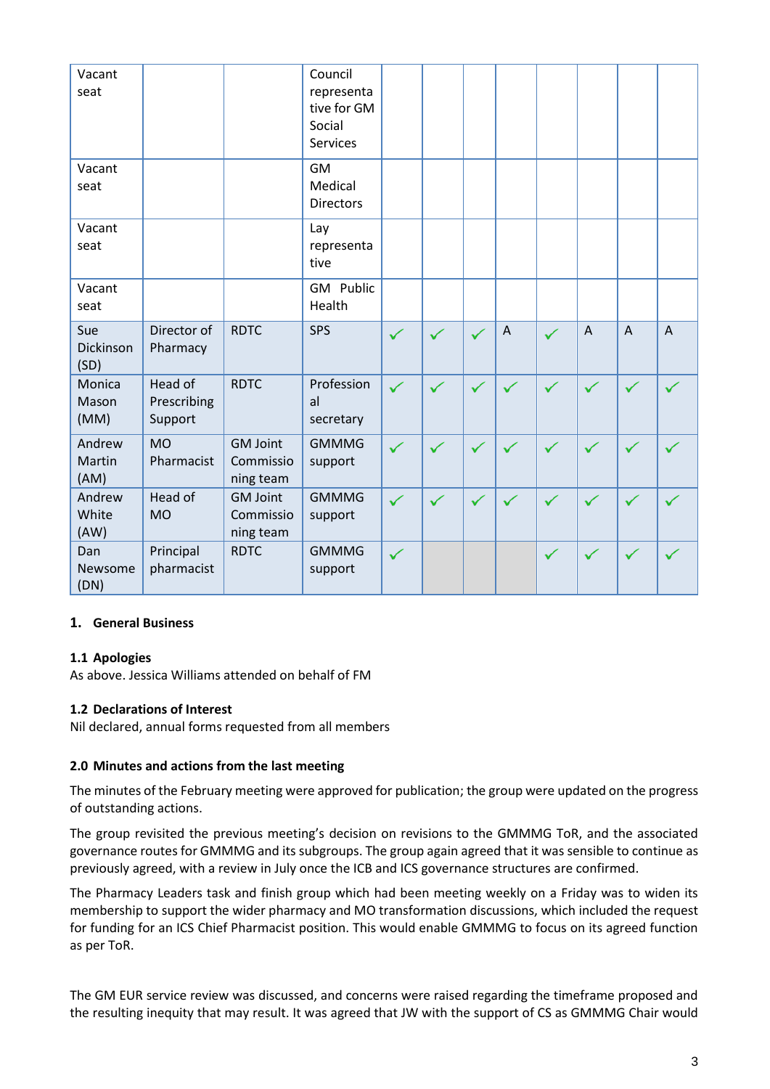| Vacant<br>seat           |                                   |                                           | Council<br>representa<br>tive for GM<br>Social<br><b>Services</b> |              |              |              |             |              |                |              |                |
|--------------------------|-----------------------------------|-------------------------------------------|-------------------------------------------------------------------|--------------|--------------|--------------|-------------|--------------|----------------|--------------|----------------|
| Vacant<br>seat           |                                   |                                           | <b>GM</b><br>Medical<br><b>Directors</b>                          |              |              |              |             |              |                |              |                |
| Vacant<br>seat           |                                   |                                           | Lay<br>representa<br>tive                                         |              |              |              |             |              |                |              |                |
| Vacant<br>seat           |                                   |                                           | GM Public<br>Health                                               |              |              |              |             |              |                |              |                |
| Sue<br>Dickinson<br>(SD) | Director of<br>Pharmacy           | <b>RDTC</b>                               | SPS                                                               | ✓            | $\checkmark$ | $\checkmark$ | $\bigwedge$ | $\checkmark$ | $\overline{A}$ | $\bigwedge$  | $\overline{A}$ |
| Monica<br>Mason<br>(MM)  | Head of<br>Prescribing<br>Support | <b>RDTC</b>                               | Profession<br>al<br>secretary                                     | $\checkmark$ | $\checkmark$ | $\checkmark$ | ✓           | $\checkmark$ | $\checkmark$   |              | ✓              |
| Andrew<br>Martin<br>(AM) | <b>MO</b><br>Pharmacist           | <b>GM Joint</b><br>Commissio<br>ning team | <b>GMMMG</b><br>support                                           | ✓            | $\checkmark$ | $\checkmark$ | ✓           | $\checkmark$ | ✓              | ✓            | ✓              |
| Andrew<br>White<br>(AW)  | Head of<br><b>MO</b>              | <b>GM Joint</b><br>Commissio<br>ning team | <b>GMMMG</b><br>support                                           | $\checkmark$ | $\checkmark$ | $\checkmark$ | ✓           | $\checkmark$ | $\checkmark$   |              | ✓              |
| Dan<br>Newsome<br>(DN)   | Principal<br>pharmacist           | <b>RDTC</b>                               | <b>GMMMG</b><br>support                                           | $\checkmark$ |              |              |             | $\checkmark$ | $\checkmark$   | $\checkmark$ | $\checkmark$   |

# **1. General Business**

# **1.1 Apologies**

As above. Jessica Williams attended on behalf of FM

#### **1.2 Declarations of Interest**

Nil declared, annual forms requested from all members

#### **2.0 Minutes and actions from the last meeting**

The minutes of the February meeting were approved for publication; the group were updated on the progress of outstanding actions.

The group revisited the previous meeting's decision on revisions to the GMMMG ToR, and the associated governance routes for GMMMG and its subgroups. The group again agreed that it was sensible to continue as previously agreed, with a review in July once the ICB and ICS governance structures are confirmed.

The Pharmacy Leaders task and finish group which had been meeting weekly on a Friday was to widen its membership to support the wider pharmacy and MO transformation discussions, which included the request for funding for an ICS Chief Pharmacist position. This would enable GMMMG to focus on its agreed function as per ToR.

The GM EUR service review was discussed, and concerns were raised regarding the timeframe proposed and the resulting inequity that may result. It was agreed that JW with the support of CS as GMMMG Chair would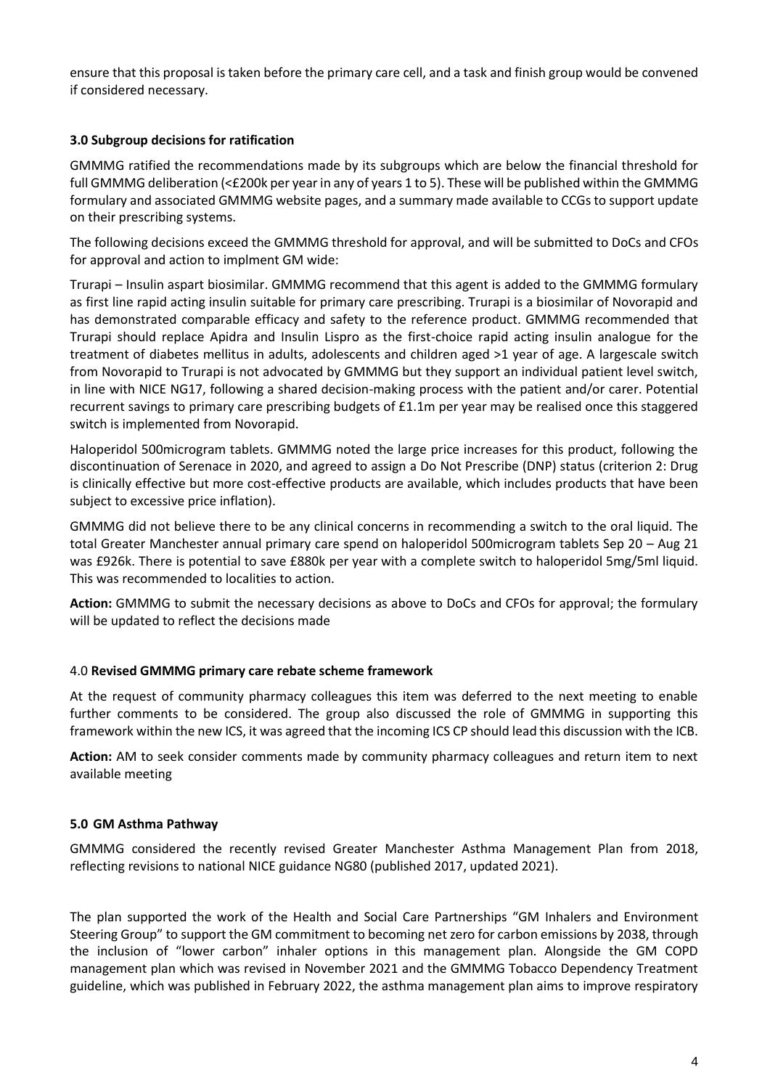ensure that this proposal is taken before the primary care cell, and a task and finish group would be convened if considered necessary.

## **3.0 Subgroup decisions for ratification**

GMMMG ratified the recommendations made by its subgroups which are below the financial threshold for full GMMMG deliberation (<£200k per year in any of years 1 to 5). These will be published within the GMMMG formulary and associated GMMMG website pages, and a summary made available to CCGs to support update on their prescribing systems.

The following decisions exceed the GMMMG threshold for approval, and will be submitted to DoCs and CFOs for approval and action to implment GM wide:

Trurapi – Insulin aspart biosimilar. GMMMG recommend that this agent is added to the GMMMG formulary as first line rapid acting insulin suitable for primary care prescribing. Trurapi is a biosimilar of Novorapid and has demonstrated comparable efficacy and safety to the reference product. GMMMG recommended that Trurapi should replace Apidra and Insulin Lispro as the first-choice rapid acting insulin analogue for the treatment of diabetes mellitus in adults, adolescents and children aged >1 year of age. A largescale switch from Novorapid to Trurapi is not advocated by GMMMG but they support an individual patient level switch, in line with NICE NG17, following a shared decision-making process with the patient and/or carer. Potential recurrent savings to primary care prescribing budgets of £1.1m per year may be realised once this staggered switch is implemented from Novorapid.

Haloperidol 500microgram tablets. GMMMG noted the large price increases for this product, following the discontinuation of Serenace in 2020, and agreed to assign a Do Not Prescribe (DNP) status (criterion 2: Drug is clinically effective but more cost-effective products are available, which includes products that have been subject to excessive price inflation).

GMMMG did not believe there to be any clinical concerns in recommending a switch to the oral liquid. The total Greater Manchester annual primary care spend on haloperidol 500microgram tablets Sep 20 – Aug 21 was £926k. There is potential to save £880k per year with a complete switch to haloperidol 5mg/5ml liquid. This was recommended to localities to action.

**Action:** GMMMG to submit the necessary decisions as above to DoCs and CFOs for approval; the formulary will be updated to reflect the decisions made

#### 4.0 **Revised GMMMG primary care rebate scheme framework**

At the request of community pharmacy colleagues this item was deferred to the next meeting to enable further comments to be considered. The group also discussed the role of GMMMG in supporting this framework within the new ICS, it was agreed that the incoming ICS CP should lead this discussion with the ICB.

**Action:** AM to seek consider comments made by community pharmacy colleagues and return item to next available meeting

#### **5.0 GM Asthma Pathway**

GMMMG considered the recently revised Greater Manchester Asthma Management Plan from 2018, reflecting revisions to national NICE guidance NG80 (published 2017, updated 2021).

The plan supported the work of the Health and Social Care Partnerships "GM Inhalers and Environment Steering Group" to support the GM commitment to becoming net zero for carbon emissions by 2038, through the inclusion of "lower carbon" inhaler options in this management plan. Alongside the GM COPD management plan which was revised in November 2021 and the GMMMG Tobacco Dependency Treatment guideline, which was published in February 2022, the asthma management plan aims to improve respiratory